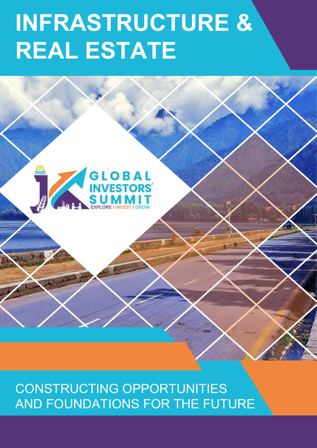# **INFRASTRUCTURE & REAL ESTATE**



CONSTRUCTING OPPORTUNITIES AND FOUNDATIONS FOR THE FUTURE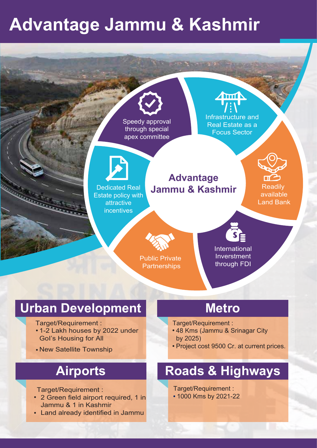## **Advantage Jammu & Kashmir**



- 1-2 Lakh houses by 2022 under GoI's Housing for All
- New Satellite Township

### **Airports**

Target/Requirement :

- 2 Green field airport required, 1 in Jammu & 1 in Kashmir
- Land already identified in Jammu

Target/Requirement :

- 48 Kms (Jammu & Srinagar City by 2025)
- Project cost 9500 Cr. at current prices.

### **Roads & Highways**

Target/Requirement : 1000 Kms by 2021-22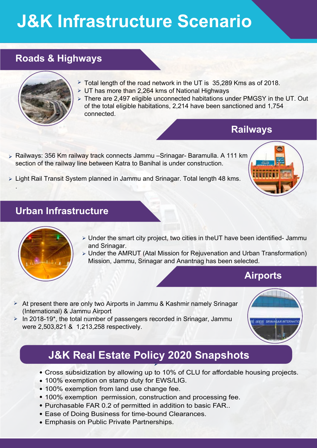## **J&K Infrastructure Scenario**

#### **Roads & Highways**



- > Total length of the road network in the UT is 35,289 Kms as of 2018.
- UT has more than 2,264 kms of National Highways
- There are 2,497 eligible unconnected habitations under PMGSY in the UT. Out of the total eligible habitations, 2,214 have been sanctioned and 1,754 connected.

#### **Railways**

Railways: 356 Km railway track connects Jammu –Srinagar- Baramulla. A 111 km section of the railway line between Katra to Banihal is under construction.



Light Rail Transit System planned in Jammu and Srinagar. Total length 48 kms. .

#### **Urban Infrastructure**



- Under the smart city project, two cities in theUT have been identified- Jammu and Srinagar.
- Under the AMRUT (Atal Mission for Rejuvenation and Urban Transformation) Mission, Jammu, Srinagar and Anantnag has been selected.

#### **Airports**

- $\triangleright$  At present there are only two Airports in Jammu & Kashmir namely Srinagar (International) & Jammu Airport
- In 2018-19\*, the total number of passengers recorded in Srinagar, Jammu were 2,503,821 & 1,213,258 respectively.

#### **J&K Real Estate Policy 2020 Snapshots**

 $\blacktriangleright$ 

- Cross subsidization by allowing up to 10% of CLU for affordable housing projects.
- 100% exemption on stamp duty for EWS/LIG.
- 100% exemption from land use change fee.
- 100% exemption permission, construction and processing fee.
- Purchasable FAR 0.2 of permitted in addition to basic FAR..
- Ease of Doing Business for time-bound Clearances.
- Emphasis on Public Private Partnerships.